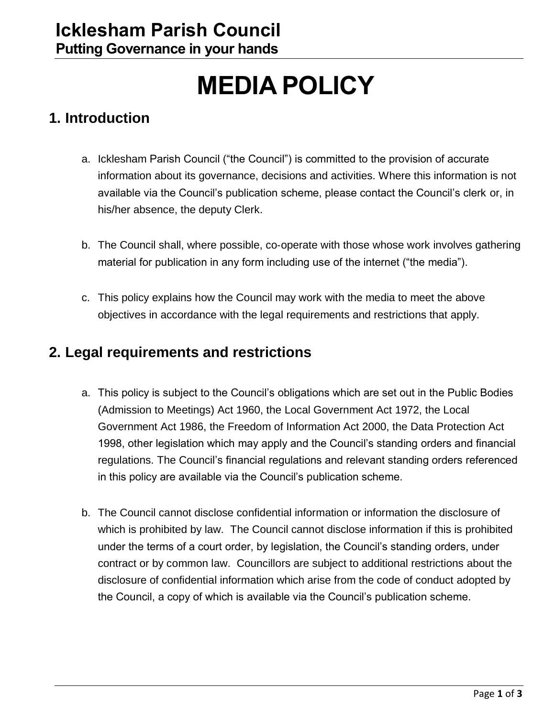# **MEDIA POLICY**

### **1. Introduction**

- a. Icklesham Parish Council ("the Council") is committed to the provision of accurate information about its governance, decisions and activities. Where this information is not available via the Council's publication scheme, please contact the Council's clerk or, in his/her absence, the deputy Clerk.
- b. The Council shall, where possible, co‐operate with those whose work involves gathering material for publication in any form including use of the internet ("the media").
- c. This policy explains how the Council may work with the media to meet the above objectives in accordance with the legal requirements and restrictions that apply.

### **2. Legal requirements and restrictions**

- a. This policy is subject to the Council's obligations which are set out in the Public Bodies (Admission to Meetings) Act 1960, the Local Government Act 1972, the Local Government Act 1986, the Freedom of Information Act 2000, the Data Protection Act 1998, other legislation which may apply and the Council's standing orders and financial regulations. The Council's financial regulations and relevant standing orders referenced in this policy are available via the Council's publication scheme.
- b. The Council cannot disclose confidential information or information the disclosure of which is prohibited by law. The Council cannot disclose information if this is prohibited under the terms of a court order, by legislation, the Council's standing orders, under contract or by common law. Councillors are subject to additional restrictions about the disclosure of confidential information which arise from the code of conduct adopted by the Council, a copy of which is available via the Council's publication scheme.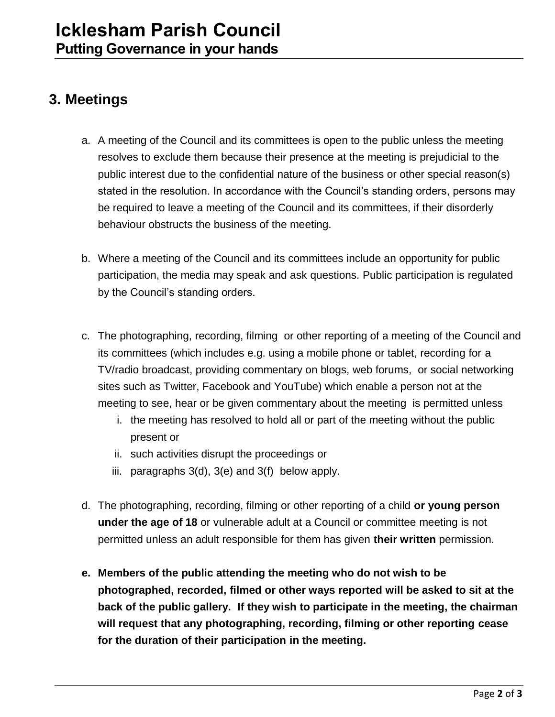## **3. Meetings**

- a. A meeting of the Council and its committees is open to the public unless the meeting resolves to exclude them because their presence at the meeting is prejudicial to the public interest due to the confidential nature of the business or other special reason(s) stated in the resolution. In accordance with the Council's standing orders, persons may be required to leave a meeting of the Council and its committees, if their disorderly behaviour obstructs the business of the meeting.
- b. Where a meeting of the Council and its committees include an opportunity for public participation, the media may speak and ask questions. Public participation is regulated by the Council's standing orders.
- c. The photographing, recording, filming or other reporting of a meeting of the Council and its committees (which includes e.g. using a mobile phone or tablet, recording for a TV/radio broadcast, providing commentary on blogs, web forums, or social networking sites such as Twitter, Facebook and YouTube) which enable a person not at the meeting to see, hear or be given commentary about the meeting is permitted unless
	- i. the meeting has resolved to hold all or part of the meeting without the public present or
	- ii. such activities disrupt the proceedings or
	- iii. paragraphs  $3(d)$ ,  $3(e)$  and  $3(f)$  below apply.
- d. The photographing, recording, filming or other reporting of a child **or young person under the age of 18** or vulnerable adult at a Council or committee meeting is not permitted unless an adult responsible for them has given **their written** permission.
- **e. Members of the public attending the meeting who do not wish to be photographed, recorded, filmed or other ways reported will be asked to sit at the back of the public gallery. If they wish to participate in the meeting, the chairman will request that any photographing, recording, filming or other reporting cease for the duration of their participation in the meeting.**